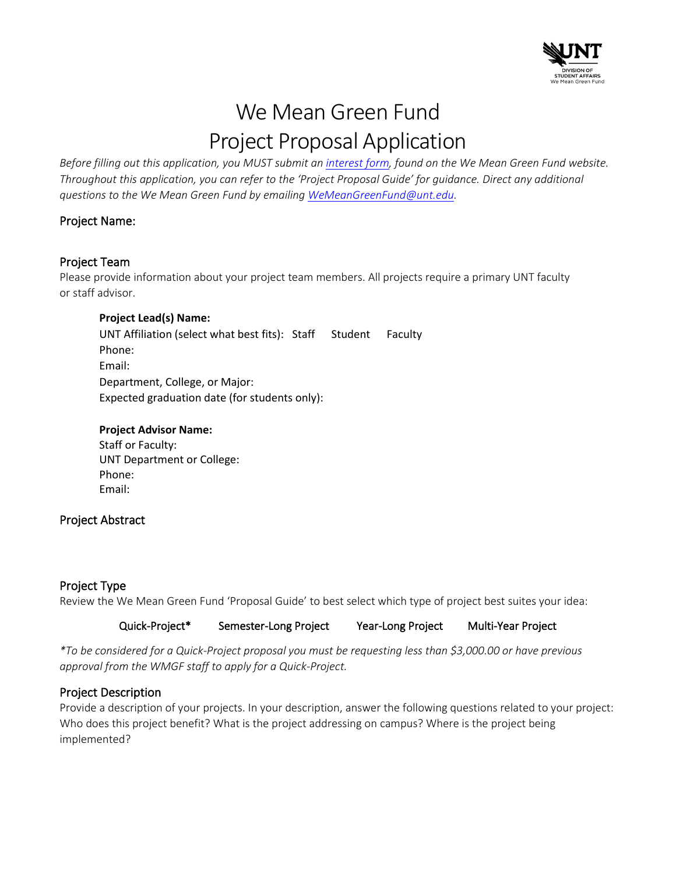

# We Mean Green Fund Project Proposal Application

*Before filling out this application, you MUST submit an [interest form,](https://unt.az1.qualtrics.com/jfe/form/SV_erIjm3xMXXWsOCa) found on the We Mean Green Fund website. Throughout this application, you can refer to the 'Project Proposal Guide' for guidance. Direct any additional questions to the We Mean Green Fund by emailing [WeMeanGreenFund@unt.edu.](mailto:WeMeanGreenFund@unt.edu)*

### Project Name:

### Project Team

Please provide information about your project team members. All projects require a primary UNT faculty or staff advisor.

### **Project Lead(s) Name:**

UNT Affiliation (select what best fits): Staff Student Faculty Phone: Email: Department, College, or Major: Expected graduation date (for students only):

## **Project Advisor Name:**

Staff or Faculty: UNT Department or College: Phone: Email:

### Project Abstract

### Project Type

Review the We Mean Green Fund 'Proposal Guide' to best select which type of project best suites your idea:

### Quick-Project\* Semester-Long Project Year-Long Project Multi-Year Project

*\*To be considered for a Quick-Project proposal you must be requesting less than \$3,000.00 or have previous approval from the WMGF staff to apply for a Quick-Project.*

### Project Description

Provide a description of your projects. In your description, answer the following questions related to your project: Who does this project benefit? What is the project addressing on campus? Where is the project being implemented?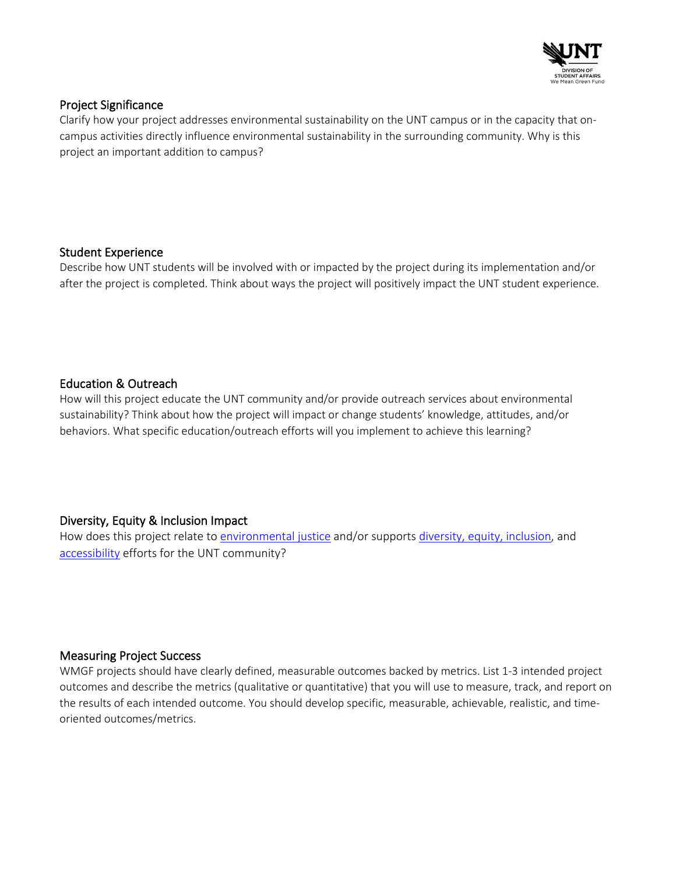

### Project Significance

Clarify how your project addresses environmental sustainability on the UNT campus or in the capacity that oncampus activities directly influence environmental sustainability in the surrounding community. Why is this project an important addition to campus?

### Student Experience

Describe how UNT students will be involved with or impacted by the project during its implementation and/or after the project is completed. Think about ways the project will positively impact the UNT student experience.

### Education & Outreach

How will this project educate the UNT community and/or provide outreach services about environmental sustainability? Think about how the project will impact or change students' knowledge, attitudes, and/or behaviors. What specific education/outreach efforts will you implement to achieve this learning?

Diversity, Equity & Inclusion Impact<br>How does this project relate to [environmental justice](https://studentaffairs.unt.edu/we-mean-green-fund/environmental-justice) and/or supports [diversity, equity, inclusion,](https://ied.unt.edu/) and [accessibility](https://disability.unt.edu/) efforts for the UNT community?

### Measuring Project Success

WMGF projects should have clearly defined, measurable outcomes backed by metrics. List 1-3 intended project outcomes and describe the metrics (qualitative or quantitative) that you will use to measure, track, and report on the results of each intended outcome. You should develop specific, measurable, achievable, realistic, and timeoriented outcomes/metrics.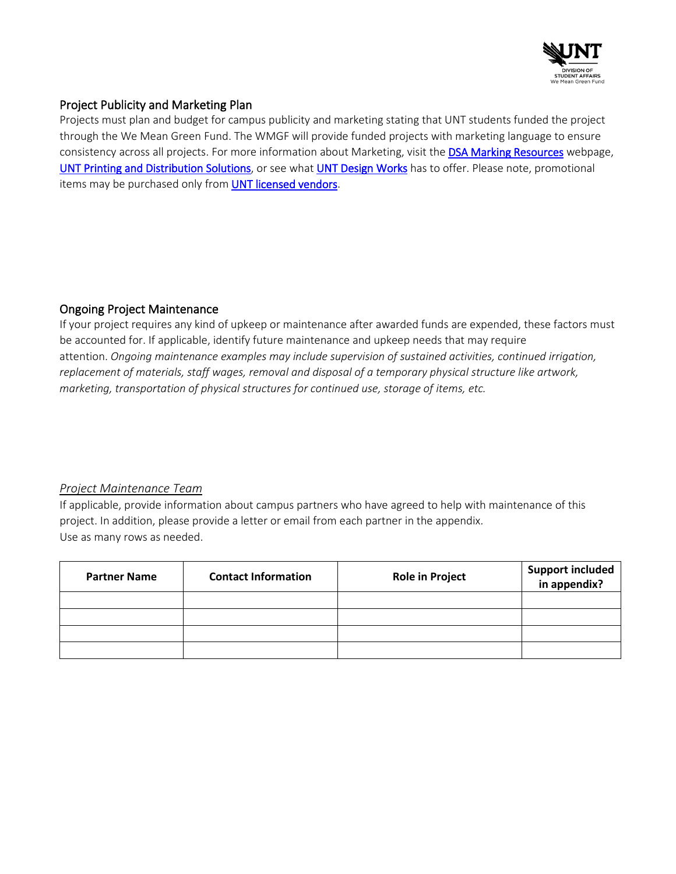

### Project Publicity and Marketing Plan

Projects must plan and budget for campus publicity and marketing stating that UNT students funded the project through the We Mean Green Fund. The WMGF will provide funded projects with marketing language to ensure consistency across all projects. For more information about Marketing, visit the [DSA Marking Resources](https://studentaffairs.unt.edu/about-us/marketing-and-communications/dsa-marketing-resources) webpage, [UNT Printing and Distribution Solutions,](https://printingservices.unt.edu/) or see wha[t UNT Design Works](https://studentaffairs.unt.edu/university-union/retail-and-dining/design-works) has to offer. Please note, promotional items may be purchased only fro[m UNT licensed vendors.](https://affinitylicensing.com/clients/university-of-north-texas/25314?search=&location=&product_categories=)

### Ongoing Project Maintenance

If your project requires any kind of upkeep or maintenance after awarded funds are expended, these factors must be accounted for. If applicable, identify future maintenance and upkeep needs that may require attention. *Ongoing maintenance examples may include supervision of sustained activities, continued irrigation, replacement of materials, staff wages, removal and disposal of a temporary physical structure like artwork, marketing, transportation of physical structures for continued use, storage of items, etc.*

### *Project Maintenance Team*

If applicable, provide information about campus partners who have agreed to help with maintenance of this project. In addition, please provide a letter or email from each partner in the appendix. Use as many rows as needed.

| <b>Partner Name</b> | <b>Contact Information</b> | <b>Role in Project</b> | <b>Support included</b><br>in appendix? |
|---------------------|----------------------------|------------------------|-----------------------------------------|
|                     |                            |                        |                                         |
|                     |                            |                        |                                         |
|                     |                            |                        |                                         |
|                     |                            |                        |                                         |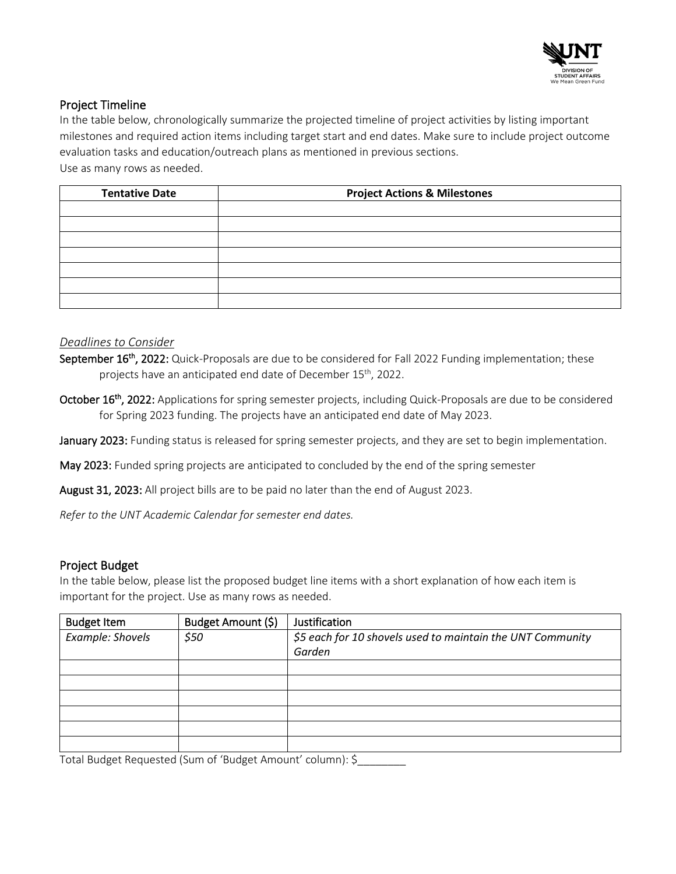

### Project Timeline

In the table below, chronologically summarize the projected timeline of project activities by listing important milestones and required action items including target start and end dates. Make sure to include project outcome evaluation tasks and education/outreach plans as mentioned in previous sections. Use as many rows as needed.

| <b>Tentative Date</b> | <b>Project Actions &amp; Milestones</b> |
|-----------------------|-----------------------------------------|
|                       |                                         |
|                       |                                         |
|                       |                                         |
|                       |                                         |
|                       |                                         |
|                       |                                         |
|                       |                                         |

### *Deadlines to Consider*

September 16<sup>th</sup>, 2022: Quick-Proposals are due to be considered for Fall 2022 Funding implementation; these projects have an anticipated end date of December 15<sup>th</sup>, 2022.

October 16<sup>th</sup>, 2022: Applications for spring semester projects, including Quick-Proposals are due to be considered for Spring 2023 funding. The projects have an anticipated end date of May 2023.

January 2023: Funding status is released for spring semester projects, and they are set to begin implementation.

May 2023: Funded spring projects are anticipated to concluded by the end of the spring semester

August 31, 2023: All project bills are to be paid no later than the end of August 2023.

*Refer to the UNT Academic Calendar for semester end dates.*

### Project Budget

In the table below, please list the proposed budget line items with a short explanation of how each item is important for the project. Use as many rows as needed.

| <b>Budget Item</b> | Budget Amount (\$) | Justification                                              |
|--------------------|--------------------|------------------------------------------------------------|
| Example: Shovels   | \$50               | \$5 each for 10 shovels used to maintain the UNT Community |
|                    |                    | Garden                                                     |
|                    |                    |                                                            |
|                    |                    |                                                            |
|                    |                    |                                                            |
|                    |                    |                                                            |
|                    |                    |                                                            |
|                    |                    |                                                            |

Total Budget Requested (Sum of 'Budget Amount' column): \$\_\_\_\_\_\_\_\_